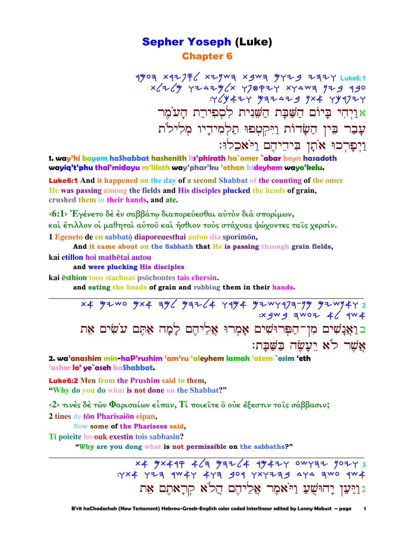### **Sepher Yoseph (Luke) Chapter 6**

 $490$ 리 X42기투 X29W리 X9W리  $9129$  Z키구 Luke6:1  $x/7/4$   $y$   $y7.47/4/7$   $y70977$   $x7407$   $y779$   $990$  $Y'(y + 1)$   $y = 1 - 1$ אַוַיְהִי בָּיוֹם הַשַּׁבַּת הַשֵּׁנִית לִסְפִירת הַעֹמֹר עָבַר בִּין הַשָּׂדוֹת וַיִּקְטִפוּ תַלְמִידַיו מִלְילֹת וַיִפְרִכוּ אֹתָן בִּיהֵיהֵם וַיֹּאכֵלוּ:

1. way'hi bayom hashabbat hashenith lis'phirath ha`omer `abar beyn hasadoth wayiq't'phu thal'midayu m'liloth way'phar'ku 'othan bideyhem wayo'kelu.

**Luke6:1** And it happened on the day of a second Shabbat of the counting of the omer He was passing among the fields and His disciples plucked the heads of grain, crushed them in their hands, and ate.

<6:1> Έγένετο δέ έν σαββάτω διαπορεύεσθαι αύτον διά σπορίμων, και έτιλλον οι μαθηται αύτου και ήσθιον τους στάχυας ψώχοντες ταις χερσίν. 1 Egeneto de en sabbatō diaporeuesthai auton dia sporimon,

And it came about on the Sabbath that He is passing through grain fields,

kai etillon hoi mathētai autou

and were plucking His disciples

kai esthion tous stachuas psochontes tais chersin.

and eating the heads of grain and rubbing them in their hands.

x4 yzwo yx4 ay / yaz /4 ray4 yzwra7a-yy yzwy4r 2 ב וַאֲנָשִׁים מִן־הַפְּרוּשִׁים אָמְרוּ אֲלֵיהֶם לָמָה אַתֵּם עֹשִׂים אֵת אַשר לֹא יַעֲשָׂה בַּשַּׁבַת:

2. wa'anashim min-haP'rushim 'am'ru 'aleyhem lamah 'atem `osim 'eth 'asher lo' ye`aseh baShabbat.

**Luke6:2** Men from the Prushim said to them. "Why do you do what is not done on the Shabbat?"

 $\langle 2 \rangle$  τινές δέ των Φαρισαίων είπαν, Τί ποιείτε ο ούκ έξεστιν τοις σάββασιν;

2 tines de tōn Pharisaiōn eipan,

Now some of the Pharisees said.

Ti poieite ho ouk exestin tois sabbasin?

"Why are you dong what is not permissible on the sabbaths?"

x4 5x449 4 / 3 542 / 4 45424 0WYAZ 50243 : YX4 YIA 9W4Y 4YA 909 YXYIA9 4Y4 AWO 9W4 גוַיַּעַן יָהוּשָׁעַ וַיֹּאמֶר אֱלֵיהֵם הַל<sup>ֹ</sup>א קִרַאתֵם אַת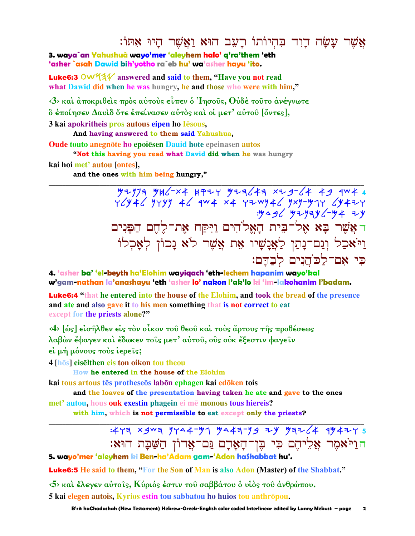## אֲשֵׁר עַשַׂה דוד בְּהִיוֹתוֹ רַעָב הוּא וַאֲשֵׁר הַיוּ אַתּוֹ:

3. wava`an Yahushuà wayo'mer 'aleyhem halo' q'ra'them 'eth 'asher `asah Dawid bih'yotho ra`eb hu' wa'asher hayu 'ito.

**Luke6:3** OW5 $4\%$  answered and said to them, "Have you not read what Dawid did when he was hungry, he and those who were with him."

 $\langle 3 \rangle$  και άποκριθείς πρός αύτους είπεν ο 'Iησούς, Ούδε τούτο ανέγνωτε δ έποίησεν Δαυὶδ ὅτε ἐπείνασεν αὐτὸς καὶ οἱ μετ' αὐτοῦ [ὄντες],

3 kai apokritheis pros autous eipen ho Iēsous,

And having answered to them said Yahushua,

**Oude touto anegnote ho epoiesen Dauid hote epeinasen autos** "Not this having you read what David did when he was hungry

kai hoi met' autou [ontes],

and the ones with him being hungry,"

 $77777$   $946-x4$   $1977$   $97764$   $x79-64$   $49$   $1044$  $Y$  //  $Y$  //  $Y$  //  $Y$  //  $Y$  //  $Y$  //  $Y$  //  $Y$  //  $Y$  //  $Y$  //  $Y$  //  $Y$  //  $Y$  //  $Y$  //  $Y$  //  $Y$  //  $Y$  //  $Y$  //  $Y$  //  $Y$  //  $Y$  //  $Y$  //  $Y$  //  $Y$  //  $Y$  //  $Y$  //  $Y$  //  $Y$  //  $Y$  //  $Y$  //  $Y$  //  $Y$  ראֲשֶׁר בָא אֶל־בִּית הָאֱלֹהִים וַיִּקַח אֵת־לֵחֵם הַפַּנִים וַיֹּאכַל וְנֵם־נָתַן לַאֲנָשָׁיו אֶת אֲשֶׁר לֹא נָכוֹן לְאָכְלוֹ כי אם־לכֹהנים לבדם:

4. 'asher ba' 'el-beyth ha'Elohim wayiaach 'eth-lechem hapanim wayo'kal w'gam-nathan la'anashayu 'eth 'asher lo' nakon l'ak'lo ki 'im-lakohanim l'badam.

**Luke6:4** "that he entered into the house of the Elohim, and took the bread of the presence and ate and also gave it to his men something that is not correct to eat except for the priests alone?"

(4) [ως] είσηλθεν είς τον οίκον του θεου και τους άρτους της προθέσεως λαβών ἔφαγεν καὶ ἔδωκεν τοῖς μετ' αὐτοῦ, οῢς οὐκ ἔξεστιν φαγεῖν

εί μή μόνους τους ιερείς;

4 [hōs] eiselthen eis ton oikon tou theou

How he entered in the house of the Elohim

kai tous artous tēs protheseōs labōn ephagen kai edōken tois

and the loaves of the presentation having taken he ate and gave to the ones

met' autou, hous ouk exestin phagein ei mē monous tous hiereis? with him, which is not permissible to eat except only the priests?

> $:477 \times 909$   $7747 - 77$   $747 - 79$   $79$   $7764$   $79764$   $79764$ הוַיֹּאמִר אַלִיהֵם כִּי בֶּן־הָאָדָם גַּם־אֲדוֹן הַשַּׁבָּת הוּא:

5. wayo'mer 'aleyhem ki Ben-ha'Adam gam-'Adon haShabbat hu'.

**Luke6:5** He said to them. "For the Son of Man is also Adon (Master) of the Shabbat."

 $\langle 5 \rangle$  και έλεγεν αύτοις, Κύριός έστιν του σαββάτου ο υίος του ανθρώπου.

5 kai elegen autois, Kyrios estin tou sabbatou ho huios tou anthropou.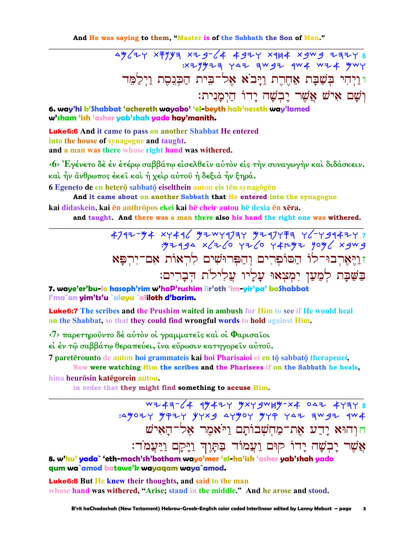And He was saying to them, "Master is of the Sabbath the Son of Man."

ay/zy x7yya xzg-/4 49zy x9H4 xgwg zazy 6 ו וַיְהִי בִּשֲׁבַת אָחֶרֶת וַיַּבֹא אֶל־בִּית הַכִּנֵסֵת וַיִּלֲמֶד וְשָׁם אִישׁ אֱשֶׁר יַבְשָׁה יַדוֹ הַיְמַנִית:

6. way'hi b'Shabbat 'achereth wayabo' 'el-beyth hak'neseth way'lamed w'sham 'ish 'asher yab'shah yado hay'manith.

**Luke6:6** And it came to pass on another Shabbat He entered into the house of synagogue and taught. and a man was there whose right hand was withered.

(6) Έγένετο δε εν ετέρω σαββάτω είσελθείν αύτον είς την συναγωγήν και διδάσκειν. και ήν άνθρωπος έκει και ή χειρ αύτου ή δεξιά ήν ξηρά.

6 Egeneto de en heterō sabbatō eiselthein auton eis tēn synagōgēn

And it came about on another Sabbath that He entered into the synagogue kai didaskein, kai ēn anthrōpos ekei kai hē cheir autou hē dexia ēn xēra.

and taught. And there was a man there also his hand the right one was withered.

797779477994 xy496 yzwyqyay yzqyta yc-ygq4zy זוַיָּאֶרְבוּ־לוֹ הַסוֹפְרִים וְהַפְּרוּשִׁים לְרִאוֹת אָם־יִרְפַּא בַשַּׁבַּת לִמַעַן יִמְצִאוּ עַלַיו עַלִילֹת הִבְרִים:

7. waye'er'bu-lo hasoph'rim w'haP'rushim lir'oth 'im-yir'pa' ba\$habbat l'ma`an yim'ts'u `alayu `aliloth d'barim.

**Luke6:7** The scribes and the Prushim waited in ambush for Him to see if He would heal on the Shabbat, so that they could find wrongful words to hold against Him.

<7> παρετηρούντο δέ αύτον οί γραμματείς και οί Φαρισαίοι

εί έν τώ σαββάτω θεραπεύει, ίνα εύρωσιν κατηγορείν αύτου.

7 pareterounto de auton hoi grammateis kai hoi Pharisaioi ei en to sabbato therapeuei, Now were watching Him the scribes and the Pharisees if on the Sabbath he heals,

hina heurōsin katēgorein autou.

in order that they might find something to accuse Him.

חוהוא יָדַע אֶת־מַחִשְׁבוֹתַם וַיֹּאמֶר אֶל־הַאִישׁ אֲשֶׁר יַבְשָׁה יַדוֹ קוּם וַעֲמוֹד בַּתַּוֶד וַיַּקַם וַיַּעֲמֹד:

8. w'hu' vada` 'eth-mach'sh'botham wavo'mer 'el-ha'ish 'asher vab'shah vado qum wa`amod batawe'k wayaqam waya`amod.

**Luke6:8** But He knew their thoughts, and said to the man whose hand was withered, "Arise; stand in the middle." And he arose and stood.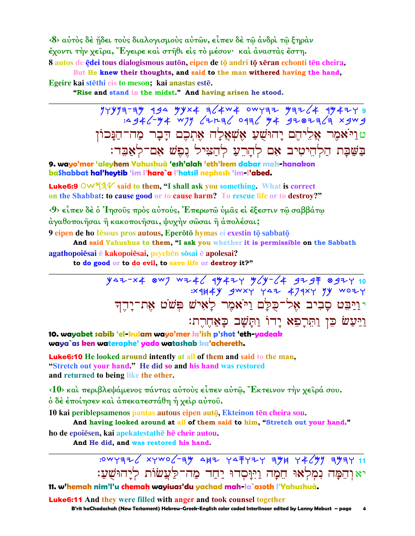<8> αύτος δε ήδει τους διαλογισμους αύτων, είπεν δε τω άνδρι τω ξηράν έχοντι την χείρα, Έγειρε και στηθι είς το μέσον· και άναστας έστη. 8 autos de ędei tous dialogismous auton, eipen de to andri to xeran echonti ten cheira,

But He knew their thoughts, and said to the man withered having the hand, Egeire kai stēthi eis to meson; kai anastas estē.

"Rise and stand in the midst." And having arisen he stood.

:4946-44 WJY 621236 0936 44 9202363 xgwg טוַיֹּאמֶר אֱלִיהֶם יַהוּשִׁעַ אֲשָׁאֲלַה אֶתְכֶם דַבָר מַה־הַנַּכוֹן בַשַּׁבַת הַלְהֵיטִיב אָם לְהָרֶעַ לְהַצִּיל נֵפֵשׁ אִם־לְאַבֶּד:

9. wayo'mer 'aleyhem Yahushuà 'esh'alah 'eth'kem dabar mah-hanakon bashabbat hal'heytib 'im l'hare`a l'hatsil nephesh 'im-l'abed.

**Luke6:9** OW $44$  said to them, "I shall ask you something. What is correct on the Shabbat: to cause good or to cause harm? To rescue life or to destroy?"

 $\langle 9 \rangle$  είπεν δέ ο Ίησους προς αύτούς, Έπερωτώ υμας εί έξεστιν τώ σαββάτω άγαθοποιήσαι ή κακοποιήσαι, ψυχήν σώσαι ή άπολέσαι;

9 eipen de ho Iesous pros autous, Eperōtō hymas ei exestin tō sabbatō

And said Yahushua to them, "I ask you whether it is permissible on the Sabbath agathopoiēsai ē kakopoiēsai, psychēn sōsai ē apolesai?

to do good or to do evil, to save life or destroy it?"

יוַיַּבֵּט סַבְיִב אֶל־כִּלַם וַיֹּאמֶר לַאָישׁ פִּשֹׁט אֶת־יַחֵד וייעש כן ותרפא ידו ותשב כאחרת:

10. wayabet sabib 'el-kulam wayo'mer la'ish p'shot 'eth-yadeak waya`as ken wateraphe' yado watashab ka'achereth.

**Luke6:10** He looked around intently at all of them and said to the man, "Stretch out your hand." He did so and his hand was restored and returned to being like the other.

<10> και περιβλεψάμενος πάντας αύτους είπεν αύτω, "Εκτεινον την χειρά σου. ό δέ έποίησεν και άπεκατεστάθη ή χειρ αύτου.

10 kai periblepsamenos pantas autous eipen auto, Ekteinon tēn cheira sou.

And having looked around at all of them said to him, "Stretch out your hand." ho de epoiesen, kai apekatestathe he cheir autou.

And He did, and was restored his hand.

: 0WYAZ XYWO (-AY 4HZ YAFYZY AYH Y4 (Y) AYAY 11 יאוהִמַּה נִמְלְאוּ חֵמַה וַיִּיַּסְדוּ יַחַד מַה־לַעֲשׂוֹת לִיַהוּשִׁעַ:

11. w'hemah nim'l'u chemah wayiuas'du yachad mah-la`asoth l'Yahushuà.

**Luke6:11** And they were filled with anger and took counsel together

B'rit haChadashah (New Testament) Hebrew-Greek-English color coded Interlinear edited by Lanny Mebust - page  $\overline{a}$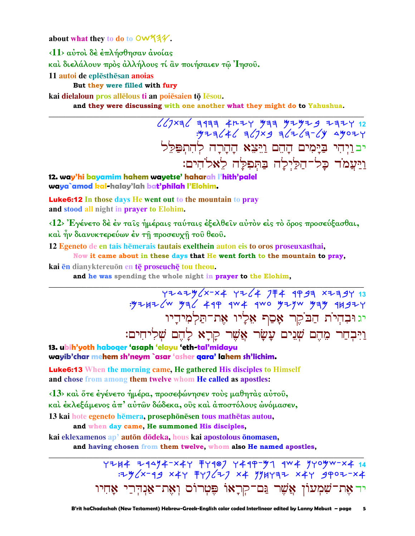about what they to do to OW53V.

<11> αύτοι δε επλήσθησαν ανοίας

καὶ διελάλουν πρὸς ἀλλήλους τί ἂν ποιήσαιεν τῷ Ἰησοῦ.

11 autoi de eplesthesan anoias

But they were filled with fury

kai dielaloun pros allelous ti an poiesaien to lesou.

and they were discussing with one another what they might do to Yahushua.

יבויהי בַיַּמִים הָהֶם וַיֵּצֵא הַהַרַה לְהִתְפַּלֵל וַיַּעֲמֹד כָּל־הַלַּיְלַה בַּתְּפִלַּה לֵאלֹהִים:

12. way'hi bayamim hahem wayetse' haharah l'hith'palel waya`amod kal-halay'lah bat'philah l'Elohim.

**Luke6:12** In those days He went out to the mountain to pray and stood all night in prayer to Elohim.

<12> Ενένετο δέ έν ταις ήμέραις ταύταις έξελθειν αύτον είς το όρος προσεύξασθαι, και ήν διανυκτερεύων έν τη προσευχη του θεου.

12 Egeneto de en tais hemerais tautais exelthein auton eis to oros proseuxasthai, Now it came about in these days that He went forth to the mountain to pray,

kai en dianyktereuon en te proseuche tou theou.

and he was spending the whole night in prayer to the Elohim.

13 YZAZY / 774 YZ 4 774 AP 974 F4 1997<br>YZHZ W YZA 49P 9W4 9W0 YZYW YAY 9HSZY: יג וּבְהִיֹת הַבֹקֵר אָסַף אֵלָיו אֶת־תַּלְמִידָיו וַיִּבְחַר מֶהֶם שָׁנֵים עַשַׂר אֱשֶׁר קַרַא לַהֶם שָׁלִיחִים:

13. ubih'yoth haboqer 'asaph 'elayu 'eth-tal'midayu wayib'char mehem sh'neym `asar 'asher qara' lahem sh'lichim.

**Luke6:13** When the morning came, He gathered His disciples to Himself and chose from among them twelve whom He called as apostles:

<13> και ὅτε έγένετο ήμέρα, προσεφώνησεν τους μαθητάς αύτου, και έκλεξάμενος άπ' αύτῶν δώδεκα, οὓς και άποστόλους ώνόμασεν, 13 kai hote egeneto hēmera, prosephōnēsen tous mathētas autou,

and when day came, He summoned His disciples,

kai eklexamenos ap<sup>3</sup> autōn dōdeka, hous kai apostolous ōnomasen,

and having chosen from them twelve, whom also He named apostles,

4244 24474-x44 7499 7449-97 444 77094-x4 14 יד אָת־שָׁמְעוֹן אֲשֶׁר נַם־קִרָאוֹ פִּטְרוֹס וְאָת־אַנְדִרַי אַחִיו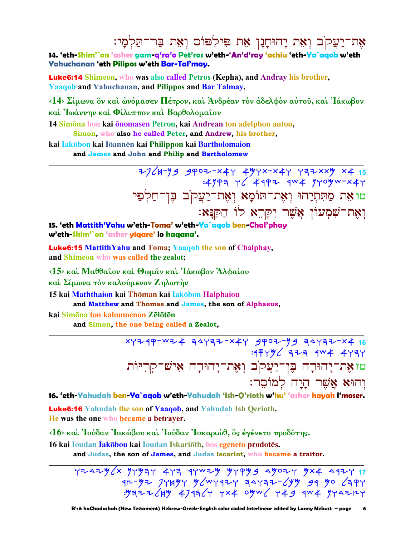אֶת־יַעֲקֹב וְאֶת יָהוּחָנָן אֶת פִּילִפּוֹס וְאֶת בַּר־תַּלְמַי:

14. 'eth-Shim'`on 'asher gam-g'ra'o Pet'ros w'eth-'An'd'ray 'achiu 'eth-Ya`agob w'eth Yahuchanan 'eth Pilipos w'eth Bar-Tal'may.

**Luke6:14** Shimeon, who was also called Petros (Kepha), and Andray his brother, **Yaaqob and Yahuchanan, and Pilippos and Bar Talmay,** 

<14> Σίμωνα ὃν καὶ ώνόμασεν Πέτρον, καὶ Ἀνδρέαν τὸν ἀδελφὸν αὐτοῦ, καὶ Ἰάκωβον καί Ίωάννην καί Φίλιππον καί Βαρθολομαΐον

14 Simona hon kai onomasen Petron, kai Andrean ton adelphon autou, Simon, who also he called Peter, and Andrew, his brother,

kai **Iakōbon kai Iōannēn kai Philippon kai Bartholomaion** and James and John and Philip and Bartholomew

> $7/4$ -19 4402-x44 444x-x44 +42xx4 x4 15  $:4999$  Y  $4997$   $4W4$   $9Y0W$   $X4Y$ טו אָת מַתִּתְיָהוּ וְאֶת־תוֹמָא וְאֶת־יַעֲקֹב בִּן־חַלִפַי וְאֶת־שִׁמְעוֹן אֲשֶׁר יִקַּרֵא לוֹ הַקַנַּא:

15. 'eth Mattith'Yahu w'eth-Toma' w'eth-Ya`agob ben-Chal'phay w'eth-Shim'`on 'asher yiqare' lo haqana'.

**Luke6:15 Mattith Yahu and Toma: Yaaqob the son of Chalphay.** and Shimeon who was called the zealot;

<15> καί Μαθθαΐον καί Θωμαν καί 'Ιάκωβον Άλφαίου

καί Σίμωνα τον καλούμενον Ζηλωτήν

15 kai Maththaion kai Thōman kai Iakōbon Halphaiou

and Matthew and Thomas and James, the son of Alphaeus,

kai Simōna ton kaloumenon Zēlōtēn

and Simon, the one being called a Zealot,

xyzqp-wz4 zayzz-x4y gpoz-yg zayzz-x4 16  $: 4FYY \times 7F3$   $4W4$   $4Y3Y$ טזאָת־יָהוּדָה בֶּן־יַעֲקֹב וְאֶת־יָהוּדָה אִישׁ־קִרְיּוֹת והוּא אֹשׁר היה למוֹסר:

16. 'eth-Yahudah ben-Ya`agob w'eth-Yahudah 'Ish-Q'rioth w'hu' 'asher hayah I'moser.

Luke6:16 Yahudah the son of Yaaqob, and Yahudah Ish Qerioth. He was the one who became a betraver.

<16> και 'Ιούδαν 'Ιακώβου και 'Ιούδαν 'Ισκαριώθ, ος έγένετο προδότης.

16 kai Ioudan Iakōbou kai Ioudan Iskariōth, hos egeneto prodotēs.

and Judas, the son of James, and Judas Iscariot, who became a traitor.

 $Y7447$ %  $Y7$   $Y84$   $Y1$   $Y1$   $Y1$   $Y1$   $Y2$   $Y3$   $Y4$   $Y5$   $Y1$   $Y1$  $1171$ <br>qr-y= 74Hy y w 94+ 34432-64y 39 yo 63PY  $.99777649$  479964 4x4 09W6 449 9W4 944744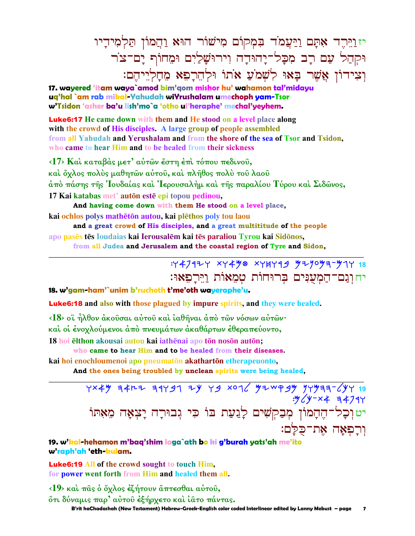יז וַיֵּרְדֵר אָתָם וַיַּעֲמֹד בִּמְקוֹם מִישׁוֹר הוּא וַהֲמוֹן תַּלְמִידַיו וּקִהַל עַם רַב מִכַּל־יַהוּדַה וִירוּשַׁלַיִם וּמֵחוֹף יַם־צֹר וִצִידוֹן אֲשֶׁר בַּאוּ לְשָׁמֹעַ אֹתוֹ וּלְהֵרַפָּא מֶחַלְיֵיהֵם:

**17. wayered 'itam waya`amod bim'qom mishor hu' wahamon tal'midayu uq'hal `am rab mikal-Yahudah wiYrushalam umechoph yam-Tsor w'Tsidon 'asher ba'u lish'mo`a 'otho ul'heraphe' mechal'yeyhem.**

Luke6:17 **He came down with them and He stood on a level place along with the crowd of His disciples. A large group of people assembled from all Yahudah and Yerushalam and from the shore of the sea of Tsor and Tsidon, who came to hear Him and to be healed from their sickness**

**‹17› Καὶ καταβὰς µετ' αὐτῶν ἔστη ἐπὶ τόπου πεδινοῦ, καὶ ὄχλος πολὺς µαθητῶν αὐτοῦ, καὶ πλῆθος πολὺ τοῦ λαοῦ ἀπὸ πάσης τῆς Ἰουδαίας καὶ Ἰερουσαλὴµ καὶ τῆς παραλίου Τύρου καὶ Σιδῶνος, 17 Kai katabas met** auton este epi topou pedinou,

**And having come down with them He stood on a level place, kai ochlos** polys mathētōn autou, kai plēthos poly tou laou

**and a great crowd of His disciples, and a great multititude of the people apo pass ts Ioudaias kai Ierousalm kai ts paraliou Tyrou kai Sidnos,**

**from all Judea and Jerusalem and the coastal region of Tyre and Sidon, \_\_\_\_\_\_\_\_\_\_\_\_\_\_\_\_\_\_\_\_\_\_\_\_\_\_\_\_\_\_\_\_\_\_\_\_\_\_\_\_\_\_\_\_\_\_\_\_\_\_\_\_\_\_\_\_\_\_\_\_\_\_\_\_\_\_\_\_\_\_\_\_\_\_\_\_\_\_\_\_\_\_\_\_\_\_\_\_\_\_\_\_\_**

## :wapryw twamf twjwrb Mynomh-Mgw **18**  יה וְנֵם־הַמְעִנִּים בְּרוּחוֹת טִמַאוֹת וירפאוּ:

#### **18. w'gam-ham'`unim b'ruchoth t'me'oth wayeraphe'u.**

Luke6:18 **and also with those plagued by impure spirits, and they were healed.** 

**‹18› οἳ ἦλθον ἀκοῦσαι αὐτοῦ καὶ ἰαθῆναι ἀπὸ τῶν νόσων αὐτῶν· καὶ οἱ ἐνοχλούµενοι ἀπὸ πνευµάτων ἀκαθάρτων ἐθεραπεύοντο, 18 hoi elthon** akousai autou kai iathēnai apo tōn nosōn autōn;

**who came to hear Him and to be healed from their diseases.** 

**kai hoi enochloumenoi** apo pneumatōn **akathartōn etherapeuonto**,

**And the ones being troubled by unclean spirits were being healed, \_\_\_\_\_\_\_\_\_\_\_\_\_\_\_\_\_\_\_\_\_\_\_\_\_\_\_\_\_\_\_\_\_\_\_\_\_\_\_\_\_\_\_\_\_\_\_\_\_\_\_\_\_\_\_\_\_\_\_\_\_\_\_\_\_\_\_\_\_\_\_\_\_\_\_\_\_\_\_\_\_\_\_\_\_\_\_\_\_\_\_\_\_**

<u>YX4Y R4r& R1Y91 ZY Y9 X016 YZWP9Y YYYRR=6YY 19</u> :"My-x4 3479Y יט וְכָל־הֶהָמוֹן מְבַקְשִׁים לָגַעַת בּוֹ כִּי גִבוּרָה יַצִאַה מֵאִתּוֹ וִרַפְאַה אֶת־כִּלַּם:

**19. w'kal-hehamon m'baq'shim laga`ath bo ki g'burah yats'ah me'ito w'raph'ah 'eth-kulam.**

Luke6:19 **All of the crowd sought to touch Him, for power went forth from Him and healed them all.**

**‹19› καὶ πᾶς ὁ ὄχλος ἐζήτουν ἅπτεσθαι αὐτοῦ, ὅτι δύναµις παρ' αὐτοῦ ἐξήρχετο καὶ ἰᾶτο πάντας.** 

 **B'rit haChadashah (New Testament) Hebrew-Greek-English color coded Interlinear edited by Lanny Mebust – page 7**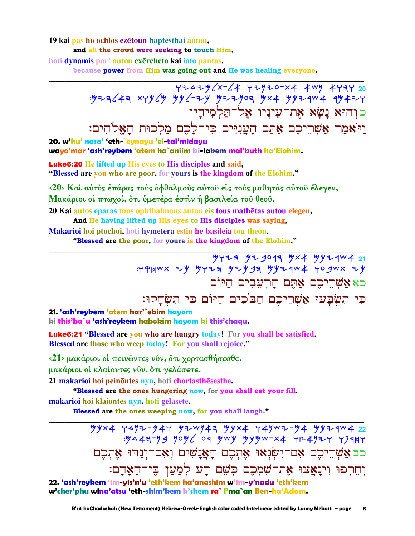#### 19 kai pas ho ochlos ezetoun haptesthai autou, and all the crowd were seeking to touch Him.

hoti dynamis par' autou exercheto kai iato pantas.

because power from Him was going out and He was healing everyone.

כוהוא נשא את־עיניו אל־תלמידיו וַיֹּאמַר אַשְׁרֵיכֶם אַתֶּם הָעֲנִיִּים כִּי־לָכֶם מַלְכוּת הָאֵלֹהִים: 20. w'hu' nasa' 'eth-`eynayu 'el-tal'midayu wayo'mar 'ash'reykem 'atem ha`aniim ki-lakem mal'kuth ha'Elohim.

**Luke6:20** He lifted up His eyes to His disciples and said, "Blessed are you who are poor, for yours is the kingdom of the Elohim."

<20> Και αύτος έπάρας τους όφθαλμους αύτου είς τους μαθητάς αύτου έλεγεν, Μακάριοι οί πτωχοί, ότι ύμετέρα έστιν ή βασιλεία του θεου. 20 Kai autos eparas tous ophthalmous autou eis tous mathētas autou elegen,

And He having lifted up His eyes to His disciples was saying, Makarioi hoi ptōchoi, hoti hymetera estin hē basileia tou theou.

"Blessed are the poor, for yours is the kingdom of the Elohim."

**サイマヨ サマタのタヨ サメキ ツゾマイルキ 21** : YPHWX ZY YYZA YZYSA YYZAWŁ YOSWX ZY כא אשריכם אתם הרעבים היום כִּי תִשְׂבָּעוּ אֲשָׁרֵיכֶם הַבֹּכִים הַיּוֹם כִּי תִשְׂחַקוּ:

21. 'ash'reykem 'atem har'`ebim hayom ki this'ba`u 'ash'reykem habokim hayom ki this'chaqu.

**Luke6:21 "Blessed are you who are hungry today!** For you shall be satisfied. Blessed are those who weep today! For you shall rejoice."

 $\langle 21 \rangle$  μακάριοι οι πεινώντες νύν, ότι χορτασθήσεσθε.

μακάριοι οι κλαίοντες νῦν, ὅτι γελάσετε.

21 makarioi hoi peinontes nyn, hoti chortasthesesthe.

"Blessed are the ones hungering now, for you shall eat your fill.

makarioi hoi klaiontes nyn, hoti gelasete.

Blessed are the ones weeping now, for you shall laugh."

 $yyx4$  ۲۹٬۶۰۶/\*۲ タシ 3/43 ダイメ 74٬۲ ۰ 74 7/4 7/4 7/4 22  $.4447 - 99$  you oq ywy yyyw-x4 rx4924 r7944 כב אַשְׁרֵיכֶם אָם־יִשְׂנָאוּ אֶתְכֶם הַאֲנַשִׁים וְאָם־יְנַדוּ אֶתְכֶם וְחֵרְפוּ וְינָאֲצוּ אֶת־שָׁמְכֶם כִּשָׁם רָע לְמַעַן בֵּן־הָאָדָם:

22. 'ash'reykem 'im-yis'n'u 'eth'kem ha'anashim w'im-y'nadu 'eth'kem w'cher'phu wina'atsu 'eth-shim'kem k'shem ra` l'ma`an Ben-ha'Adam.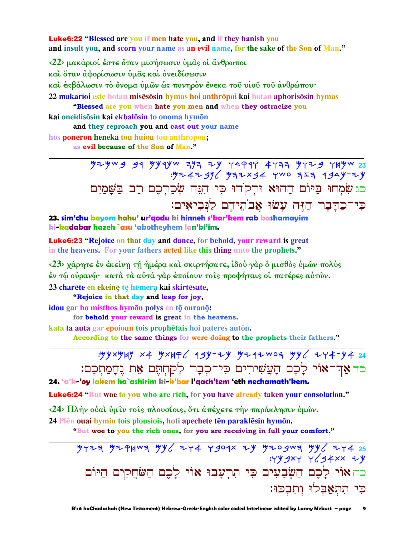**Luke6:22 "Blessed are you if men hate you, and if they banish you** and insult you, and scorn your name as an evil name, for the sake of the Son of Man."

 $\langle 22 \rangle$  μακάριοί έστε ὄταν μισήσωσιν υμας οι άνθρωποι καὶ ὅταν ἀφορίσωσιν ὑμᾶς καὶ ὀνειδίσωσιν καὶ ἐκβάλωσιν τὸ ὄνομα ὑμῶν ὡς πονηρὸν ἔνεκα τοῦ υἱοῦ τοῦ ἀνθρώπου· 22 makarioi este hotan misesosin hymas hoi anthropoi kai hotan aphorisosin hymas "Blessed are you when hate you men and when they ostracize you kai oneidisosin kai ekbalosin to onoma hymon and they reproach you and cast out your name hōs ponēron heneka tou huiou tou anthrōpou;

as evil because of the Son of Man."

 $7+7-7$  31  $7+7$  31  $7+7$  32  $7+7$  32  $4+7$  32  $7+7$  32  $12$  $.97479969978947009779999779$ כג שִׂמְחוּ בַיּוֹם הַהוּא וּרִקֹדוּ כִּי הָגָּה שִׂכַרְכֶם רַב בַּשֵּׁמַיִם כִּי־כַדַּבָר הַזֶּה עַשׂוּ אֲבֹתֵיהֵם לַנִּבִיאִים:

23. sim'chu bayom hahu' ur'qodu ki hinneh s'kar'kem rab bashamayim ki-kadabar hazeh `asu 'abotheyhem lan'bi'im.

**Luke6:23** "Rejoice on that day and dance, for behold, your reward is great in the heavens. For your fathers acted like this thing unto the prophets."

<23> χάρητε έν έκείνη τη ήμέρα και σκιρτήσατε, ίδου γαρ ο μισθος υμών πολύς έν τῶ οὐρανῶ· κατὰ τὰ αὐτὰ γὰρ ἐποίουν τοῖς προφήταις οἱ πατέρες αὐτῶν.

23 charēte en ekeinē tē hēmera kai skirtēsate.

"Rejoice in that day and leap for joy,

idou gar ho misthos hymōn polys en tō ouranō;

for **behold** your reward is great in the heavens.

kata ta auta gar epoioun tois prophetais hoi pateres auton.

According to the same things for were doing to the prophets their fathers."

: yyxyyy x4 yxyq < 19y-zy yzqzwoq yy < zy4-y4 24 כר אַדְ־אוֹי לָכֶם הָעֲשִׁירִים כִּי־כִבָר לִקַחִתֵּם אֶת נִחָמַתִכֶם: 24. 'a'k-'oy lakem ha`ashirim ki-k'bar l'qach'tem 'eth nechamath'kem.

**Luke6:24** "But woe to you who are rich, for you have already taken your consolation."

<24> Πλήν ούαι ύμιν τοις πλουσίοις, ότι άπέχετε τήν παράκλησιν ύμων.

24 Plēn ouai hymin tois plousiois, hoti apechete tēn paraklēsin hymōn.

"But woe to you the rich ones, for you are receiving in full your comfort."

 $7774$   $774$   $774$   $796$   $796$   $792$   $796$   $792$   $792$   $792$   $792$   $792$   $792$   $792$   $792$   $792$   $792$  $:YY 4XY Y (44XX)$ כה אוֹי לַכֵם הַשִּׂבְעִים כִּי תִרְעָבוּ אוֹי לַכִם הַשֹּׁחֲקִים הַיּוֹם כִּי תְתְאֲבָלוּ וְתְבְכּוּ: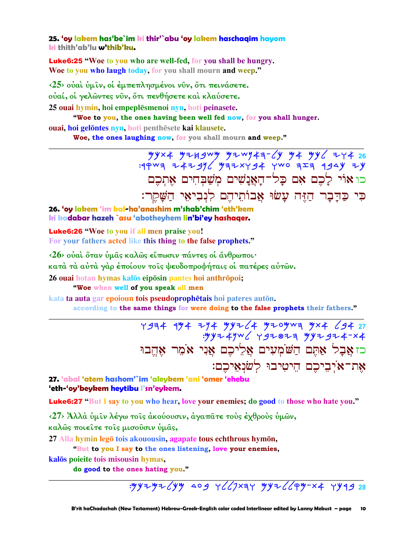**25. 'oy lakem has'be`im ki thir'`abu 'oy lakem haschaqim hayom ki thith'ab'lu w'thib'ku.**

Luke6:25 **"Woe to you who are well-fed, for you shall be hungry. Woe to you who laugh today, for you shall mourn and weep."**

**‹25› οὐαὶ ὑµῖν, οἱ ἐµπεπλησµένοι νῦν, ὅτι πεινάσετε. οὐαί, οἱ γελῶντες νῦν, ὅτι πενθήσετε καὶ κλαύσετε.** 

**25 ouai hymin, hoi empeplsmenoi nyn, hoti peinasete.** 

**"Woe to you, the ones having been well fed now, for you shall hunger. ouai, hoi gelontes nyn, hoti** penthesete kai klausete.

**\_\_\_\_\_\_\_\_\_\_\_\_\_\_\_\_\_\_\_\_\_\_\_\_\_\_\_\_\_\_\_\_\_\_\_\_\_\_\_\_\_\_\_\_\_\_\_\_\_\_\_\_\_\_\_\_\_\_\_\_\_\_\_\_\_\_\_\_\_\_\_\_\_\_\_\_\_\_\_\_\_\_\_\_\_\_\_\_\_\_\_\_\_**

**Woe, the ones laughing now, for you shall mourn and weep."** 

 Mkta Myjbcm Mycnah-lk Ma Mkl ywa **26**  :rqch yaybnl Mhytwba wco hzh rbdk yk כו אוֹי לַכֵם אִם כַּל־הַאֲנַשִׁים מִשַּׁבְּחִים אֵתְכֵם כִּי כַּדַבָר הַזֶּה עָשׂוּ אָבוֹתֵיהֵם לְנִבִיאֵי הַשָּׁקֵר:

**26. 'oy lakem 'im kal-ha'anashim m'shab'chim 'eth'kem ki kadabar hazeh `asu 'abotheyhem lin'bi'ey hashaqer.**

Luke6:26 **"Woe to you if all men praise you! For your fathers acted like this thing to the false prophets."**

**‹26› οὐαὶ ὅταν ὑµᾶς καλῶς εἴπωσιν πάντες οἱ ἄνθρωποι·** 

**κατὰ τὰ αὐτὰ γὰρ ἐποίουν τοῖς ψευδοπροφήταις οἱ πατέρες αὐτῶν.** 

**26 ouai** hotan **hymas** kalōs eipōsin pantes hoi anthrōpoi;

**"Woe when well of you speak all men**

**kata ta auta gar epoioun tois pseudoprophetais** hoi pateres auton.

**according to the same things for were doing to the false prophets their fathers."** 

**\_\_\_\_\_\_\_\_\_\_\_\_\_\_\_\_\_\_\_\_\_\_\_\_\_\_\_\_\_\_\_\_\_\_\_\_\_\_\_\_\_\_\_\_\_\_\_\_\_\_\_\_\_\_\_\_\_\_\_\_\_\_\_\_\_\_\_\_\_\_\_\_\_\_\_\_\_\_\_\_\_\_\_\_\_\_\_\_\_\_\_\_\_**

Y 934 194 794 99764 9709wa 9x4 694 27  $:$ "YYZ4")  $\vee$  YYZ8Z3 YYZ9Z4-X4 בז אֲבָל אַתֶּם הַשֹּׁמְעִים אֲלֵיכֵם אֲנִי אֹמֵר אֶהֱבוּ אֲת־אֹיְבִיכֶם הֵיטִיבוּ לְשׂנְאֵיכֶם:

**27. 'abal 'atem hashom'`im 'aleykem 'ani 'omer 'ehebu 'eth-'oy'beykem heytibu l'sn'eykem.**

Luke6:27 **"But I say to you who hear, love your enemies; do good to those who hate you."**

**‹27› Ἀλλὰ ὑµῖν λέγω τοῖς ἀκούουσιν, ἀγαπᾶτε τοὺς ἐχθροὺς ὑµῶν,** 

**καλῶς ποιεῖτε τοῖς µισοῦσιν ὑµᾶς,**

27 Alla hymin legō tois akouousin, agapate tous echthrous hymōn,

**"But to you I say to the ones listening, love your enemies,**

**kals poieite tois misousin hymas,** 

**do good to the ones hating you."** 

**\_\_\_\_\_\_\_\_\_\_\_\_\_\_\_\_\_\_\_\_\_\_\_\_\_\_\_\_\_\_\_\_\_\_\_\_\_\_\_\_\_\_\_\_\_\_\_\_\_\_\_\_\_\_\_\_\_\_\_\_\_\_\_\_\_\_\_\_\_\_\_\_\_\_\_\_\_\_\_\_\_\_\_\_\_\_\_\_\_\_\_\_\_** :Mkymylkm dob wllpthw Mkyllqm-ta wkrb **28**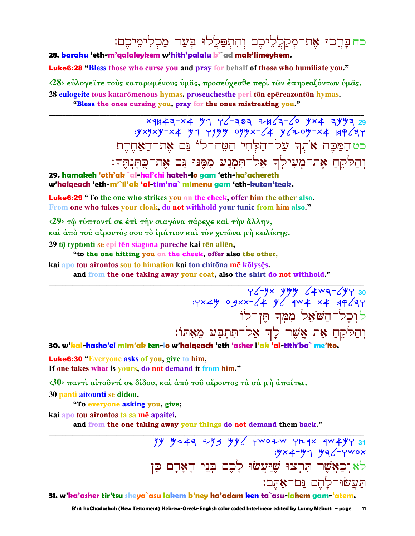כח בַּרֵכוּ אֶת־מְקַלֵלִיכֶם וְהִתְפַּלֵלוּ בִּעַד מַכְלִימֵיכֶם:

#### 28. baraku 'eth-m'galaleykem w'hith'palalu b'`ad mak'limeykem.

**Luke6:28 "Bless those who curse you and pray for behalf of those who humiliate you."** 

<28> εύλογείτε τους καταρωμένους υμάς, προσεύχεσθε περι των επηρεαζόντων υμάς. 28 eulogeite tous katarōmenous hymas, proseuchesthe peri tōn epēreazontōn hymas. "Bless the ones cursing you, pray for the ones mistreating you."

> $yxyxy-x4$   $y1$   $yyyy$   $0yyx-(4)$   $y(10y-x4)$   $y=2y$ כט הַמַּכֵּה אֹתִךְ עֲל־הַלְחִי הַטֵּה־לוֹ גַּם אֶת־הַאֲחֶרֵת וִהַלֹּקֵחַ אֶת־מִעִילִךְ אֲל־תִּמְנַע מִמֵּנּוּ גַּם אֶת־כָּתֲנִתֵּךְ:

29. hamakeh 'oth'ak `al-hal'chi hateh-lo gam 'eth-ha'achereth w'halqeach 'eth-m'`il'ak 'al-tim'na` mimenu gam 'eth-kutan'teak.

**Luke6:29** "To the one who strikes you on the cheek, offer him the other also. From one who takes your cloak, do not withhold your tunic from him also."

<29> τω τύπτοντί σε έπι την σιαγόνα πάρεχε και την άλλην,

και άπό του αίροντός σου το ιμάτιον και τον χιτώνα μή κωλύσης.

29 tō typtonti se epi tēn siagona pareche kai tēn allēn,

"to the one hitting you on the cheek, offer also the other,

kai apo tou airontos sou to himation kai ton chitōna mē kōlysēs.

and from the one taking away your coat, also the shirt do not withhold."

30 745-744 x 44-54<br>7554 4x4 x4 4x4 x 4 44x7: ל וִכָל־הַשֹּׁאֵל מִמְּךְ הֵן־לוֹ וִהַלִּקְהַ אֵת אֲשֶׁר לָךְ אַל־תְּתְבַע מֵאָתוֹ:

30. w'kal-hasho'el mim'ak ten-lo w'halqeach 'eth 'asher l'ak 'al-tith'ba` me'ito.

**Luke6:30 "Everyone asks of you, give to him,** If one takes what is yours, do not demand it from him."

 $\langle 30 \rangle$  παντί αίτοῦντί σε δίδου, καὶ ἀπὸ τοῦ αἴροντος τὰ σὰ μὴ ἀπαίτει.

30 panti aitounti se didou,

"To everyone asking you, give;

kai apo tou airontos ta sa mē apaitei.

and from the one taking away your things do not demand them back."

 $79$   $9447$   $79$   $99$   $99$   $1002$   $1002$   $1012$   $1012$   $1012$  $.9x + -91$   $.99y - 7x + 8$ לאוִכְאֲשֶׁר תְּרְצוּ שֵׁיַּעֲשׂוּ לָכֶם בְּנֵי הַאֲדָם כֵּן תַעֲשׂוּ־לָהֶם נֵּם־אַתֵּם:

31. w'ka'asher tir'tsu sheya`asu lakem b'ney ha'adam ken ta`asu-lahem gam-'atem.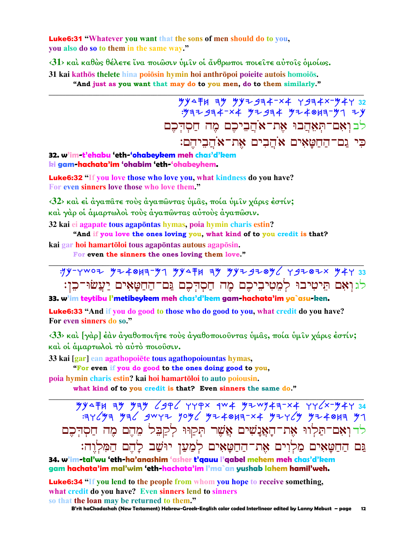**Luke6:31 "Whatever you want that the sons of men should do to you,** you also do so to them in the same way."

 $\langle 31 \rangle$  και καθώς θέλετε ίνα ποιώσιν υμίν οι άνθρωποι ποιείτε αύτοις ομοίως. 31 kai kathōs thelete hina poiōsin hymin hoi anthrōpoi poieite autois homoiōs.

"And just as you want that may do to you men, do to them similarly."

 $\frac{1}{2}$  $.997 + 994 - x4$   $.994 + 994$   $.994 + 9949 - 91$ לבואם־תאהבוּ את־אֹהביכם מה חסדכם כי גם־הַחַטַאִים אֹהֲבִים אֶת־אֹהֲבִיהֶם:

32. w'im-t'ehabu 'eth-'ohabeykem meh chas'd'kem ki gam-hachata'im 'ohabim 'eth-'ohabeyhem.

**Luke6:32** "If you love those who love you, what kindness do you have? For even sinners love those who love them."

 $\langle 32 \rangle$  και εί άναπάτε τους άναπώντας υμάς, ποία υμίν γάρις έστίν; και γάρ οι άμαρτωλοι τους άγαπώντας αυτους άγαπώσιν.

32 kai ei agapate tous agapontas hymas, poia hymin charis estin?

"And if you love the ones loving you, what kind of to you credit is that?

kai gar hoi hamartōloi tous agapōntas autous agapōsin.

For even the sinners the ones loving them love."

 $.99 - Y$ WOZ  $.97 + 817 - .97$   $.9947 + 1.33$ <br> $.99 - Y$ WOZ  $.97 + 87 - .33$ לגואם תיטיבו למטיביכם מה חסדכם גם־החטאים יעשו־כו:

33. w'im teytibu l'metibeykem meh chas'd'kem gam-hachata'im ya`asu-ken.

Luke6:33 "And if you do good to those who do good to you, what credit do you have? For even sinners do so."

<33> και [γαρ] έαν αγαθοποιήτε τους αγαθοποιούντας υμάς, ποία υμίν χάρις έστίν; και οι άμαρτωλοί το αύτο ποιούσιν.

33 kai [gar] ean agathopoiete tous agathopoiountas hymas,

"For even if you do good to the ones doing good to you,

poia hymin charis estin? kai hoi hamartōloi to auto poiousin.

what kind of to you credit is that? Even sinners the same do."

 $\frac{1}{2}$   $\frac{1}{2}$   $\frac{1}{2}$   $\frac{1}{2}$   $\frac{1}{2}$   $\frac{1}{2}$   $\frac{1}{2}$   $\frac{1}{2}$   $\frac{1}{2}$   $\frac{1}{2}$   $\frac{1}{2}$   $\frac{1}{2}$   $\frac{1}{2}$   $\frac{1}{2}$   $\frac{1}{2}$   $\frac{1}{2}$   $\frac{1}{2}$   $\frac{1}{2}$   $\frac{1}{2}$   $\frac{1}{2}$   $\frac{1}{2}$   $\frac{1}{2}$  לדואם־תַלווּ אַת־הָאֲנָשִׁים אֲשֵׁר תִּקַוּוּ לְקַבֵּל מֵהֵם מֵה חַסְדִּכֵם <u>גּם הַחַטַּאָים מַלְוִים אֶת־הַחַטָּאָים לִמַעַן יוּשַׁב לָהֶם הַמִּלְוֶ</u>ה:

34. w'im-tal'wu 'eth-ha'anashim 'asher t'aguu l'aabel mehem meh chas'd'kem gam hachata'im mal'wim 'eth-hachata'im l'ma`an yushab lahem hamil'weh.

**Luke6:34 "If you lend to the people from whom you hope to receive something,** what credit do you have? Even sinners lend to sinners

so that the loan may be returned to them."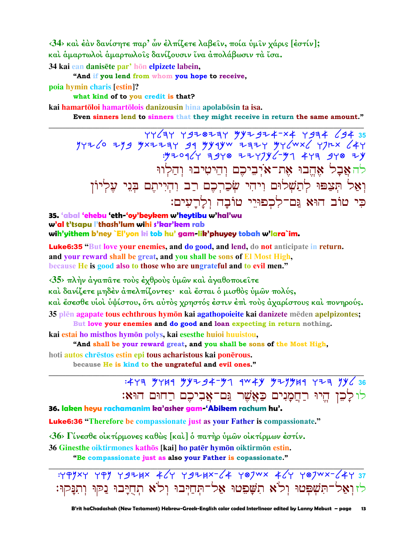<34> και έαν δανίσητε παρ' ὧν έλπίζετε λαβείν, ποία ὑμιν χάρις [έστίν]; και άμαρτωλοι άμαρτωλοις δανίζουσιν ίνα άπολάβωσιν τα ίσα. 34 kai ean danisēte par' hōn elpizete labein,

"And if you lend from whom you hope to receive, poia hymin charis [estin]?

what kind of to you credit is that?

kai hamartōloi hamartōlois danizousin hina apolabōsin ta isa.

Even sinners lend to sinners that they might receive in return the same amount."

להאַבַל אָהֵבוּ אֶת־אֹיִבִיכֶם וְהֵיטִיבוּ וְהַלְווּ וָאֲל תִּצַפּוּ לְתַשָׁלוּם וְיהִי שִׂכַרִכֶם רַב וְהִיִיתֵם בְּנֵי עָלְיוֹן כי טוֹב הוּא גַם־לִכְפוּיֵי טוֹבָה וְלַרֲעִים:

35. 'abal 'ehebu 'eth-'oy'beykem w'heytibu w'hal'wu w'al t'tsapu l'thash'lum wihi s'kar'kem rab wih'yithem b'ney `El'yon ki tob hu' gam-lik'phuyey tobah w'lara`im.

**Luke6:35** "But love your enemies, and do good, and lend, do not anticipate in return. and your reward shall be great, and you shall be sons of El Most High, because He is good also to those who are ungrateful and to evil men."

<35> πλήν άναπάτε τους έχθρους υμών και άναθοποιείτε

καὶ δανίζετε μηδὲν ἀπελπίζοντες· καὶ ἔσται ὁ μισθὸς ὑμῶν πολύς,

και έσεσθε υιοι υψίστου, ότι αυτός χρηστός έστιν έπι τους άχαρίστους και πονηρούς. 35 plēn agapate tous echthrous hymon kai agathopoieite kai danizete mēden apelpizontes;

But love your enemies and do good and loan expecting in return nothing.

kai estai ho misthos hymōn polys, kai esesthe huioi huuistou,

"And shall be your reward great, and you shall be sons of the Most High,

hoti autos chrestos estin epi tous acharistous kai ponerous.

because He is kind to the ungrateful and evil ones."

## $:477$  7749 79234-77 9049 727749 723 79636 לולכן היו רחמנים כאשר גם־אביכם רחום הוא:

36. laken heyu rachamanim ka'asher gam 'Abikem rachum hu'.

**Luke6:36** "Therefore be compassionate just as your Father is compassionate."

<36> Γίνεσθε οικτίρμονες καθώς [και ] ό πατήρ υμών οικτίρμων έστίν.

36 Ginesthe oiktirmones kathōs [kai] ho patēr hymōn oiktirmōn estin.

"Be compassionate just as also your Father is copassionate."

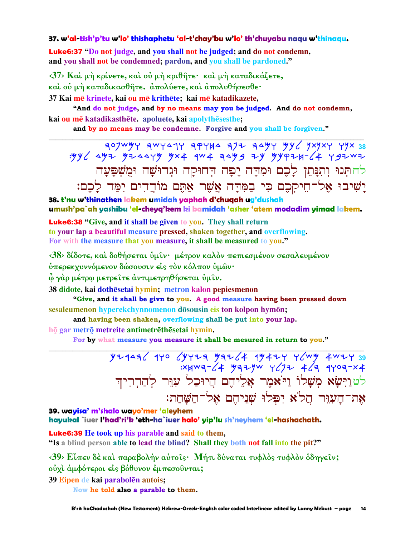#### 37. w'al-tish'p'tu w'lo' thishaphetu 'al-t'chay'bu w'lo' th'chuyabu naqu w'thinaqu.

Luke6:37 "Do not judge, and you shall not be judged; and do not condemn, and you shall not be condemned; pardon, and you shall be pardoned."

 $\langle 37 \rangle$  Και μή κρίνετε, και ου μή κριθήτε· και μή καταδικάζετε, καὶ οὐ μὴ καταδικασθῆτε, άπολύετε, καὶ ἀπολυθήσεσθε·

37 Kai mē krinete, kai ou mē krithēte; kai mē katadikazete,

"And do not judge, and by no means may you be judged. And do not condemn, kai ou mē katadikasthēte. apoluete, kai apolythēsesthe;

and by no means may be condemne. Forgive and you shall be forgiven."

לחתִנוּ וִתְנַּתֵן לַכֵם וּמִדַּה יָפָה הְחוּקַה וּגְדוּשָׁה וּמֻשְׁפָּעָה יַשִׁיבוּ אֶל־חֵיקִכֶם כִּי בַמְּדַה אֲשֶׁר אַתֶּם מוֹדֵדִים יִמַּד לַכֶם:

38. t'nu w'thinathen lakem umidah yaphah d'chuqah ug'dushah umush'pa`ah yashibu 'el-cheyq'kem ki bamidah 'asher 'atem modadim yimad lakem.

**Luke6:38** "Give, and it shall be given to you. They shall return to your lap a beautiful measure pressed, shaken together, and overflowing. For with the measure that you measure, it shall be measured to you."

<38> δίδοτε, και δοθήσεται υμίν· μέτρον καλον πεπιεσμένον σεσαλευμένον ύπερεκγυννόμενον δώσουσιν είς τον κόλπον υμών·

ώ γάρ μέτρω μετρείτε άντιμετρηθήσεται **ύμ**ιν.

38 didote, kai dothēsetai hymin; metron kalon pepiesmenon

"Give, and it shall be givn to you. A good measure having been pressed down sesaleumenon hyperekchynnomenon dōsousin eis ton kolpon hymōn;

and having been shaken, overflowing shall be put into your lap.

hō gar metrō metreite antimetrēthēsetai hymin.

For by what measure you measure it shall be mesured in return to you."

 $Y+4$  and  $Y+7$  and  $Y+7$  and  $Y+7$  is  $X+7$  and  $Y+7$  and  $Y+7$  and  $Y+7$  and  $Y+7$ לטוַיִּשָׂא מְשָׁלוֹ וַיֹּאמֶר אֲלִיהֵם הֵיוּכַל עָוֵּר לְהַדְרִיהִ את־העוּר הַלֹא יפּלוּ שׁניהם אל־השׁחת:

39. wayisa' m'shalo wayo'mer 'aleyhem

hayukal `iuer l'had'ri'k 'eth-ha`iuer halo' yip'lu sh'neyhem 'el-hashachath.

**Luke6:39 He took up his parable and said to them,** 

"Is a blind person able to lead the blind? Shall they both not fall into the pit?"

<39> Είπεν δέ και παραβολήν αύτοις· Μήτι δύναται τυφλός τυφλόν όδηγειν; ούχι άμφότεροι είς βόθυνον έμπεσούνται;

39 Eipen de kai parabolēn autois;

Now he told also a parable to them.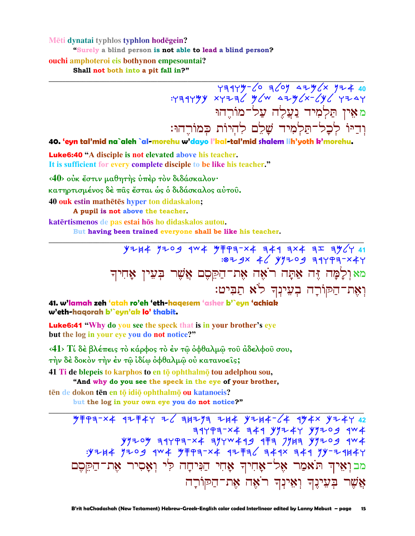#### Mēti dynatai typhlos typhlon hodēgein? "Surely a blind person is not able to lead a blind person? ouchi amphoteroi eis bothynon empesountai? Shall not both into a pit fall in?"

# $Y=74449-60$  a  $Y=764449$ <br> $Y=76449$   $Y=7649$   $Y=7649$   $Y=7649$ <u>מאין תַּלְמִיד נַעֲלֶה עַל־מוֹרֵהוּ</u> וִדְיּוֹ לִכְלְ־תַּלְמִיד שֲלֵם לְהִיוֹת כִּמוֹרֵהוּ:

40. 'eyn tal'mid na`aleh `al-morehu w'dayo l'kal-tal'mid shalem lih'yoth k'morehu.

**Luke6:40** "A disciple is not elevated above his teacher. It is sufficient for every complete disciple to be like his teacher."

<40> ούκ έστιν μαθητής ύπέρ τον διδάσκαλον· κατηρτισμένος δέ πας έσται ως ο διδάσκαλος αύτου. 40 ouk estin mathetes hyper ton didaskalon; A pupil is not above the teacher.

katērtismenos de pas estai hōs ho didaskalos autou.

But having been trained everyone shall be like his teacher.

 $Y+14$   $Y+09$   $4W+$   $Y+193-X4$   $749$   $724$   $75$   $741$ :07 9x 46 497209 34493-x44 מאולָמָה זֶּה אַתָּה רֹאֵה אֶת־הַקֵּםָם אֲשֶׁר בִּעֵין אָחִיךְ וְאֵת־הַקּוֹרָה בִעֲינָךְ לֹא תַבִּיט:

41. w'lamah zeh 'atah ro'eh 'eth-hagesem 'asher b'`eyn 'achiak w'eth-haqorah b'`eyn'ak lo' thabit.

**Luke6:41** "Why do you see the speck that is in your brother's eye but the log in your eye you do not notice?"

<41> Τί δέ βλέπεις τὸ κάρφος τὸ ἐν τῷ ὀφθαλμῷ τοῦ ἀδελφοῦ σου, την δέ δοκόν την έν τῶ ἰδίω ὀφθαλμῶ οὐ κατανοεῖς;

41 Ti de blepeis to karphos to en tō ophthalmō tou adelphou sou,

"And why do you see the speck in the eye of your brother,

tēn de dokon tēn en tō idiō ophthalmō ou katanoeis?

but the log in your own eye you do not notice?"

 $77797 - 74497 + 477724 + 46497 + 4744 + 4744 + 4744 + 4744 + 4244 + 4244 + 4244 + 4244 + 4244 + 4244 + 4244 + 4244 + 4244 + 4244 + 4244 + 4244 + 4244 + 4244 + 4244 + 4244 + 4244 + 4244 + 4244 + 4244 + 4244 + 4244 + 4244 + 4244 + 4244 + 4244 + 4244 + 4244 +$  $79777774777777777777999774$ מבואיה תֹאמַר אֵל־אָחִיךְ אָחִי הַנִּיחָה לִי וְאָסִיר אֵת־הַקֵּםֵם אֲשֵׁר בִּעֵינֵךְ וְאֵינִךְ רֹאֵה אֶת־הַקּוֹרָה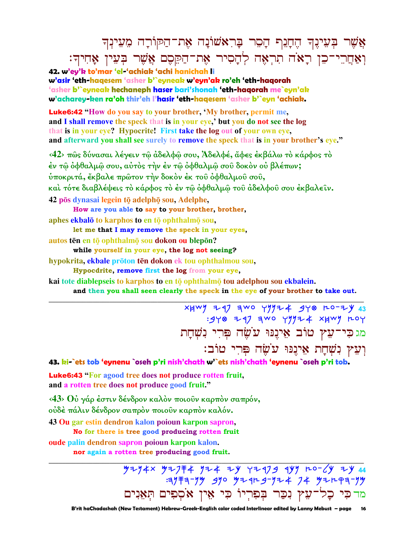$\bm{z}$ אֲשֶׁר בְּעֵינֻךְ הֶחָנִף הָםֵר בָּרִאשׁוֹנָה אֶת־הַקוֹרָה מֵעֵינְךָ וְאַחֲרֵי־כֶן רָאֹה תְרָאָה לְהָסִיר אֶת־הַקֵּםֶם אֲשֶׁר בְּעֵין אֲחִיךָ:

**42. w'ey'k to'mar 'el-'achiak 'achi hanichah li w'asir 'eth-haqesem 'asher b'`eyneak w'eyn'ak ro'eh 'eth-haqorah 'asher b'`eyneak hechaneph haser bari'shonah 'eth-haqorah me`eyn'ak w'acharey-ken ra'oh thir'eh l'hasir 'eth-haqesem 'asher b'`eyn 'achiak.** 

Luke6:42 **"How do you say to your brother, 'My brother, permit me, and I shall remove the speck that is in your eye,' but you do not see the log that is in your eye? Hypocrite! First take the log out of your own eye, and afterward you shall see surely to remove the speck that is in your brother's eye."** 

**‹42› πῶς δύνασαι λέγειν τῷ ἀδελφῷ σου, Ἀδελφέ, ἄφες ἐκβάλω τὸ κάρφος τὸ ἐν τῷ ὀφθαλµῷ σου, αὐτὸς τὴν ἐν τῷ ὀφθαλµῷ σοῦ δοκὸν οὐ βλέπων; ὑποκριτά, ἔκβαλε πρῶτον τὴν δοκὸν ἐκ τοῦ ὀφθαλµοῦ σοῦ, καὶ τότε διαβλέψεις τὸ κάρφος τὸ ἐν τῷ ὀφθαλµῷ τοῦ ἀδελφοῦ σου ἐκβαλεῖν. 42 pōs dynasai legein tō adelphō sou, Adelphe,** 

**How are you able to say to your brother, brother, aphes ekbal to karphos to en <b>t<sub><b>o**</sub> ophthalm**<sub><b>o**</sub> sou,

**let me that I may remove the speck in your eyes,**

**autos tēn en tō** ophthalmō sou **dokon** ou blepon?

**while yourself in your eye, the log not seeing?** 

**hypokrita, ekbale prōton tēn dokon** ek tou ophthalmou sou,

**Hypocdrite, remove first the log from your eye,**

**kai tote** diablepseis to karphos to en tō ophthalmō tou adelphou sou ekbalein.

**and then you shall seen clearly the speck in the eye of your brother to take out.** 

**\_\_\_\_\_\_\_\_\_\_\_\_\_\_\_\_\_\_\_\_\_\_\_\_\_\_\_\_\_\_\_\_\_\_\_\_\_\_\_\_\_\_\_\_\_\_\_\_\_\_\_\_\_\_\_\_\_\_\_\_\_\_\_\_\_\_\_\_\_\_\_\_\_\_\_\_\_\_\_\_\_\_\_\_\_\_\_\_\_\_\_\_\_**

xxwy 297 awo yyyz4 gy⊗ ro-zy 43  $:948$  z q7 awo yyyz  $4$  xywy roy מג כִּי־עָץ טוֹב אָינִנּוּ עֹשֵׂה פִּרִי נִשְׁחָת וִעֵאַ נִשְׁחַת אֵינֵנּוּ עוֹשֶׂה פְּרִי טוֹב:

**43. ki-`ets tob 'eynenu `oseh p'ri nish'chath w'`ets nish'chath 'eynenu `oseh p'ri tob.**

Luke6:43 **"For agood tree does not produce rotten fruit, and a rotten tree does not produce good fruit."**

**‹43› Οὐ γάρ ἐστιν δένδρον καλὸν ποιοῦν καρπὸν σαπρόν, οὐδὲ πάλιν δένδρον σαπρὸν ποιοῦν καρπὸν καλόν.** 

**43 Ou gar estin dendron kalon poioun karpon sapron, No for there is tree good producing rotten fruit**

**oude palin dendron sapron poioun karpon kalon.** 

**nor again a rotten tree producing good fruit.** 

**\_\_\_\_\_\_\_\_\_\_\_\_\_\_\_\_\_\_\_\_\_\_\_\_\_\_\_\_\_\_\_\_\_\_\_\_\_\_\_\_\_\_\_\_\_\_\_\_\_\_\_\_\_\_\_\_\_\_\_\_\_\_\_\_\_\_\_\_\_\_\_\_\_\_\_\_\_\_\_\_\_\_\_\_\_\_\_\_\_\_\_\_\_** <u> タシクキ× タシ</u>フキキ タシキ シツ Yシ9フタ 9YY r-0-CY シソ 44  $:3/773-7/9$  370 92924-724 74 92293-74 מד כִּי כָל־עֵץ נִכַּר בִּפְרִיוֹ כִּי אֵין אֹסִפִּים תִּאֲנִים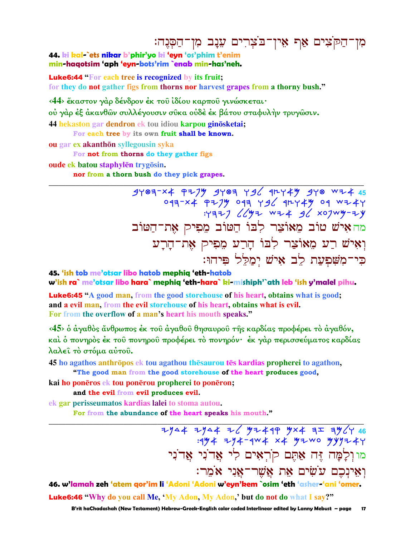## מִן־הַקֹּצִים אַף אִין־בֹּצְרִים עֵנָב מִן־הַסְּנֶה:

#### 44. ki kal-`ets nikar b'phir'yo ki 'eyn 'os'phim t'enim min-haqotsim 'aph 'eyn-bots'rim `enab min-has'neh.

**Luke6:44 "For each tree is recognized by its fruit:** 

for they do not gather figs from thorns nor harvest grapes from a thorny bush."

<44> έκαστον γάρ δένδρον έκ του ίδίου καρπου γινώσκεται·

ού γάρ έξ άκανθῶν συλλέγουσιν σῦκα οὐδὲ ἐκ βάτου σταφυλὴν τρυγῶσιν.

44 hekaston gar dendron ek tou idiou karpou ginōsketai;

For each tree by its own fruit shall be known.

ou gar ex akanthōn syllegousin syka

For not from thorns do they gather figs

oude ek batou staphylēn trygōsin.

nor from a thorn bush do they pick grapes.

 $4403-x4$   $747$   $4403$   $73/$   $4144$   $474$   $478$   $146$ 043-x4 P2/Y 043 Y96 91244 04 WI4Y<br>H37) 66 X74 WI4 96 X07WY-IY מה איש טוב מאוצר לבו הטוב מפיק את־הטוב וְאִישׁ רַע מֵאוֹצַר לְבוֹ הָרַע מִפִיק אֶת־הָרָע פי־משפעת לב איש ימלל פיהו:

45. 'ish tob me'otsar libo hatob mephia 'eth-hatob w'ish ra` me'otsar libo hara` mephiq 'eth-hara` ki-mishiph'`ath leb 'ish y'malel pihu.

**Luke6:45** "A good man, from the good storehouse of his heart, obtains what is good; and a evil man, from the evil storehouse of his heart, obtains what is evil. For from the overflow of a man's heart his mouth speaks."

<45> δ άγαθδς άνθρωπος έκ του άγαθου θησαυρου της καρδίας προφέρει τδ άγαθόν, καὶ ὁ πονηρὸς ἐκ τοῦ πονηροῦ προφέρει τὸ πονηρόν· ἐκ γὰρ περισσεύματος καρδίας λαλεί τό στόμα αύτου.

45 ho agathos anthrōpos ek tou agathou thēsaurou tēs kardias propherei to agathon, "The good man from the good storehouse of the heart produces good,

kai ho ponēros ek tou ponērou propherei to ponēron; and the evil from evil produces evil.

ek gar perisseumatos kardias lalei to stoma autou. For from the abundance of the heart speaks his mouth."

> $7144$  7144 76 97449 9x4 7 7964 46  $: 4y + 7y + -4w + x + y + w$  wyy7+44 מו וִלְמָה זֶּה אַתֵּם קֹרְאִים לִי אֲדֹנִי אֲדֹנִי וְאֵינְכֶם עֹשִׂים אֶת אֲשֶׁר־אֲנִי אֹמֶר:

46. w'lamah zeh 'atem gor'im li 'Adoni 'Adoni w'eyn'kem `osim 'eth 'asher-'ani 'omer. Luke6:46 "Why do you call Me, 'My Adon, My Adon,' but do not do what I say?"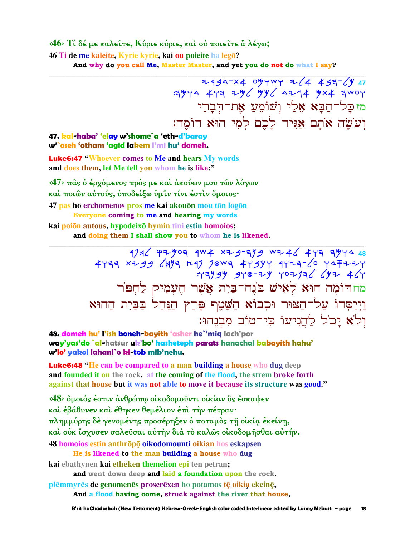#### <46> Τί δέ με καλείτε, Κύριε κύριε, και ου ποιείτε αλέγω; 46 Ti de me kaleite, Kyrie kyrie, kai ou poieite ha legō? And why do you call Me, Master Master, and yet you do not do what I say?

7994-24 09747 764 493-694 מז כַּל־הַבַּא אֶלֵי וְשׁוֹמֵעַ אֶת־הִבָרֵי וְעֹשֶׂה אֹתֲם אַגִּיד לַכֶם לְמִי הוּא דוֹמֵה:

#### 47. kal-haba' 'elay w'shome`a 'eth-d'baray w'`oseh 'otham 'agid lakem l'mi hu' domeh.

**Luke6:47 "Whoever comes to Me and hears My words** and does them, let Me tell you whom he is like:"

 $\langle 47 \rangle$  πας ο έρχόμενος πρός με και άκούων μου των λόγων και ποιών αύτούς, υποδείξω υμιν τίνι έστιν όμοιος· 47 pas ho erchomenos pros me kai akouōn mou tōn logōn Everyone coming to me and hearing my words kai poiōn autous, hypodeixō hymin tini estin homoios;

and doing them I shall show you to whom he is likened.

 $1746$  PZY07 1W4 xZ9-719 WZ46 477 7Y14 48 4477 x 29 6477 20 70 44994 4407 20 44727  $Y = \frac{1}{2}$ מח דוֹמֵה הוּא לְאִישׁ בֹּנֶה־בַּיִת אֲשֶׁר הֵעָמִיק לַחְפּוֹר וַיִיַסְדוֹ עַל־הַצּוּר וּכְבוֹא הַשָּׁטֶף פַּרַץ הַנַּחַל בַּבַּיִת הַהוּא ול'א יכל להניעו כי־טוב מִבְנָהוּ:

48. domeh hu' l'ish boneh-bayith 'asher he`'miq lach'por way'yas'do `al-hatsur uk'bo' hasheteph parats hanachal babayith hahu' w'lo' yakol lahani`o ki-tob mib'nehu.

**Luke6:48** "He can be compared to a man building a house who dug deep and founded it on the rock. at the coming of the flood, the strem broke forth against that house but it was not able to move it because its structure was good."

<48> δμοιός έστιν άνθρώπω οικοδομούντι οικίαν δς έσκαψεν και έβάθυνεν και έθηκεν θεμέλιον έπι την πέτραν· πλημμύρης δε γενομένης προσέρηξεν ο ποταμός τη οικία εκείνη, καὶ οὐκ ἴσχυσεν σαλεῦσαι αὐτὴν διὰ τὸ καλῶς οἰκοδομῆσθαι αὐτήν. 48 homoios estin anthrōpō oikodomounti oikian hos eskapsen He is likened to the man building a house who dug

kai ebathynen kai ethēken themelion epi tēn petran; and went down deep and laid a foundation upon the rock.

plēmmyrēs de genomenēs proserēxen ho potamos tē oikia ekeinē, And a flood having come, struck against the river that house,